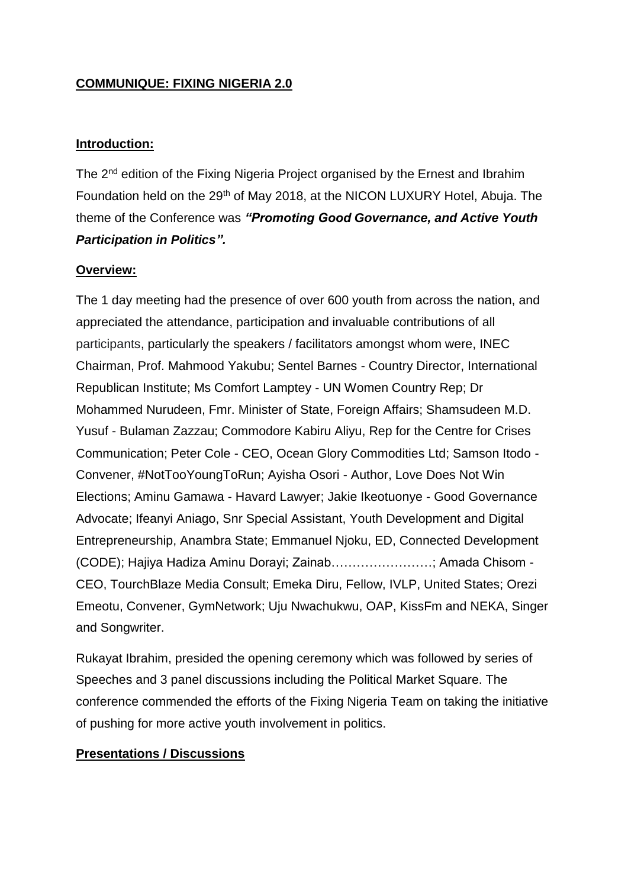## **COMMUNIQUE: FIXING NIGERIA 2.0**

#### **Introduction:**

The 2<sup>nd</sup> edition of the Fixing Nigeria Project organised by the Ernest and Ibrahim Foundation held on the 29<sup>th</sup> of May 2018, at the NICON LUXURY Hotel, Abuja. The theme of the Conference was *"Promoting Good Governance, and Active Youth Participation in Politics".*

### **Overview:**

The 1 day meeting had the presence of over 600 youth from across the nation, and appreciated the attendance, participation and invaluable contributions of all participants, particularly the speakers / facilitators amongst whom were, INEC Chairman, Prof. Mahmood Yakubu; Sentel Barnes - Country Director, International Republican Institute; Ms Comfort Lamptey - UN Women Country Rep; Dr Mohammed Nurudeen, Fmr. Minister of State, Foreign Affairs; Shamsudeen M.D. Yusuf - Bulaman Zazzau; Commodore Kabiru Aliyu, Rep for the Centre for Crises Communication; Peter Cole - CEO, Ocean Glory Commodities Ltd; Samson Itodo - Convener, #NotTooYoungToRun; Ayisha Osori - Author, Love Does Not Win Elections; Aminu Gamawa - Havard Lawyer; Jakie Ikeotuonye - Good Governance Advocate; Ifeanyi Aniago, Snr Special Assistant, Youth Development and Digital Entrepreneurship, Anambra State; Emmanuel Njoku, ED, Connected Development (CODE); Hajiya Hadiza Aminu Dorayi; Zainab……………………; Amada Chisom - CEO, TourchBlaze Media Consult; Emeka Diru, Fellow, IVLP, United States; Orezi Emeotu, Convener, GymNetwork; Uju Nwachukwu, OAP, KissFm and NEKA, Singer and Songwriter.

Rukayat Ibrahim, presided the opening ceremony which was followed by series of Speeches and 3 panel discussions including the Political Market Square. The conference commended the efforts of the Fixing Nigeria Team on taking the initiative of pushing for more active youth involvement in politics.

## **Presentations / Discussions**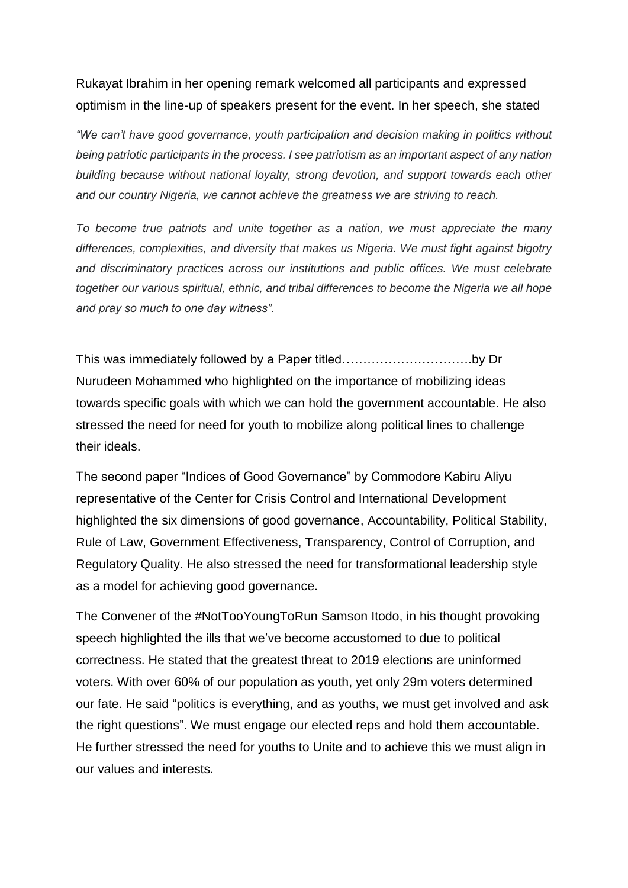# Rukayat Ibrahim in her opening remark welcomed all participants and expressed optimism in the line-up of speakers present for the event. In her speech, she stated

*"We can't have good governance, youth participation and decision making in politics without being patriotic participants in the process. I see patriotism as an important aspect of any nation building because without national loyalty, strong devotion, and support towards each other and our country Nigeria, we cannot achieve the greatness we are striving to reach.* 

*To become true patriots and unite together as a nation, we must appreciate the many differences, complexities, and diversity that makes us Nigeria. We must fight against bigotry and discriminatory practices across our institutions and public offices. We must celebrate together our various spiritual, ethnic, and tribal differences to become the Nigeria we all hope and pray so much to one day witness".* 

This was immediately followed by a Paper titled………………………….by Dr Nurudeen Mohammed who highlighted on the importance of mobilizing ideas towards specific goals with which we can hold the government accountable. He also stressed the need for need for youth to mobilize along political lines to challenge their ideals.

The second paper "Indices of Good Governance" by Commodore Kabiru Aliyu representative of the Center for Crisis Control and International Development highlighted the six dimensions of good governance, Accountability, Political Stability, Rule of Law, Government Effectiveness, Transparency, Control of Corruption, and Regulatory Quality. He also stressed the need for transformational leadership style as a model for achieving good governance.

The Convener of the #NotTooYoungToRun Samson Itodo, in his thought provoking speech highlighted the ills that we've become accustomed to due to political correctness. He stated that the greatest threat to 2019 elections are uninformed voters. With over 60% of our population as youth, yet only 29m voters determined our fate. He said "politics is everything, and as youths, we must get involved and ask the right questions". We must engage our elected reps and hold them accountable. He further stressed the need for youths to Unite and to achieve this we must align in our values and interests.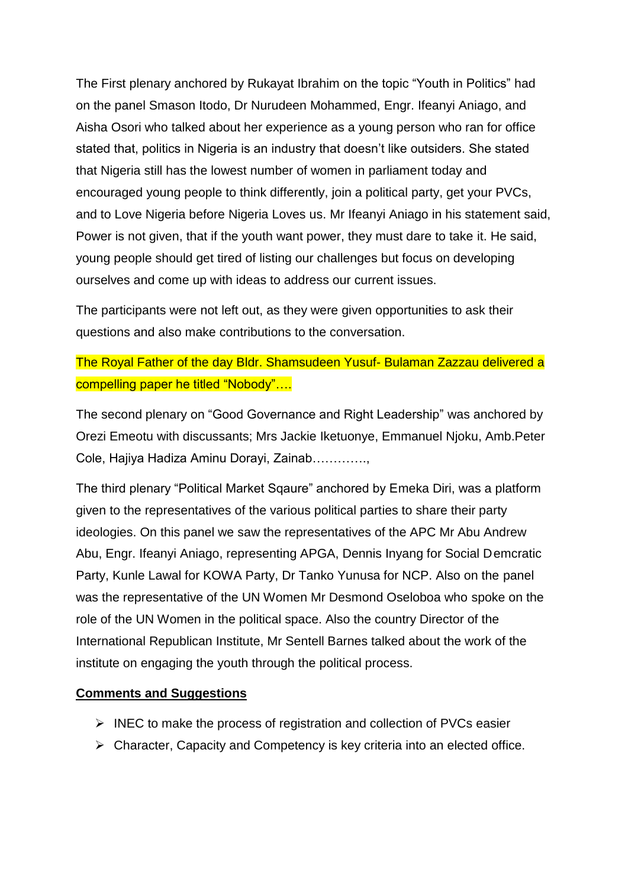The First plenary anchored by Rukayat Ibrahim on the topic "Youth in Politics" had on the panel Smason Itodo, Dr Nurudeen Mohammed, Engr. Ifeanyi Aniago, and Aisha Osori who talked about her experience as a young person who ran for office stated that, politics in Nigeria is an industry that doesn't like outsiders. She stated that Nigeria still has the lowest number of women in parliament today and encouraged young people to think differently, join a political party, get your PVCs, and to Love Nigeria before Nigeria Loves us. Mr Ifeanyi Aniago in his statement said, Power is not given, that if the youth want power, they must dare to take it. He said, young people should get tired of listing our challenges but focus on developing ourselves and come up with ideas to address our current issues.

The participants were not left out, as they were given opportunities to ask their questions and also make contributions to the conversation.

# The Royal Father of the day Bldr. Shamsudeen Yusuf- Bulaman Zazzau delivered a compelling paper he titled "Nobody"….

The second plenary on "Good Governance and Right Leadership" was anchored by Orezi Emeotu with discussants; Mrs Jackie Iketuonye, Emmanuel Njoku, Amb.Peter Cole, Hajiya Hadiza Aminu Dorayi, Zainab………….,

The third plenary "Political Market Sqaure" anchored by Emeka Diri, was a platform given to the representatives of the various political parties to share their party ideologies. On this panel we saw the representatives of the APC Mr Abu Andrew Abu, Engr. Ifeanyi Aniago, representing APGA, Dennis Inyang for Social Demcratic Party, Kunle Lawal for KOWA Party, Dr Tanko Yunusa for NCP. Also on the panel was the representative of the UN Women Mr Desmond Oseloboa who spoke on the role of the UN Women in the political space. Also the country Director of the International Republican Institute, Mr Sentell Barnes talked about the work of the institute on engaging the youth through the political process.

#### **Comments and Suggestions**

- ➢ INEC to make the process of registration and collection of PVCs easier
- ➢ Character, Capacity and Competency is key criteria into an elected office.